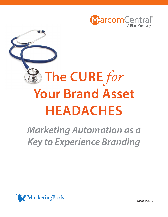

# **The Cure** *for* **Your Brand Asset Headaches**

# *Marketing Automation as a Key to Experience Branding*



October 2015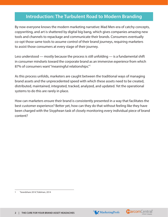### **Introduction: The Turbulent Road to Modern Branding**

By now everyone knows the modern marketing narrative: Mad Men-era of catchy concepts, copywriting, and art is shattered by digital big bang, which gives companies amazing new tools and channels to repackage and communicate their brands. Consumers eventually co-opt those same tools to assume control of their brand journeys, requiring marketers to assist those consumers at every stage of their journey.

Less understood — mostly because the process is still unfolding — is a fundamental shift in consumer mindsets toward the corporate brand as an immersive *experience* from which 87% of consumers want "meaningful relationships."1

As this process unfolds, marketers are caught between the traditional ways of managing brand assets and the unprecedented speed with which these assets need to be created, distributed, maintained, integrated, tracked, analyzed, and updated. Yet the operational systems to do this are rarely in place.

How can marketers ensure their brand is consistently presented in a way that facilitates the best customer experience? Better yet, how can they do that without feeling like they have been charged with the Sisyphean task of closely monitoring every individual piece of brand content?





<sup>1</sup> ["brandshare 2014," Edelman, 2014](http://www.slideshare.net/EdelmanInsights/brandshare-2014-40307975)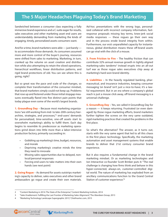## **The 5 Major Headaches Plaguing Today's Brand Marketing**

Sandwiched between a consumer class expecting a fully immersive brand experience and a C-suite eager for results, sales executives and other marketing asset end users are understandably demanding from marketing the kinds of engaging, timely, personalized assets consumers want.

And for a time, brand marketers were able — just barely to accommodate those demands. As consumers assumed more and more control of the buyer's journey, resources were shifted from sales to marketing. Marketing, in turn, cranked up the volume on asset creation and distribution while also attempting to retain the siloed operations, hierarchical workflows, linear distribution patterns, and rigid brand protections of old. You can see where this is going, right?

But so great was the pace and scale of the changes, so complete their transformation of the consumer mindset, that brand marketers simply could not keep up. Problems that rose up and festered under those initial stopgap measures eventually flared into five distinct pain points that today plague even some of the world's largest brands.

**1. Groundhog Day** – Because most marketing organizations "are still working from mid- to late-20th century hierarchies, strategies, and processes,"<sup>2</sup> end-users' demands for personalized, time-sensitive, one-off assets start to overwhelm marketing's ability to fulfill them. Each day begins to resemble its predecessor as marketing operations grind down into little more than a labor-intensive production factory, primarily succeeding in:

- Gobbling up marketing's time, budget, resources, and morale
- Depriving marketing's creative minds the time they need to innovate
- Missing sales opportunities due to delayed, nonlocal/personal responses
- Forcing end-users to take matters into their own hands (see next point)

**2. Going Rogue** – As demand for assets outstrips marketing's capacity to deliver, sales executives and other brand ambassadors go rogue and create their own materials. Ad-hoc presentations with the wrong logo, personalized collateral with incorrect company information, fastresponse proposals missing key terms, knee-jerk social media responses — these rogues go their own way and in the process erode brand integrity from within. Furthermore, our era's unparalleled capacity for instantaneous, global distribution means these off-brand assets can go viral with the click of a mouse.

**3. From Friction to Fire** – The healthy friction that can contribute 32% annual revenue growth in tightly aligned marketing-sales tandems<sup>3</sup> instead erupts into an all-out turf war as those rogue sales executives chip away at marketing's hard-won brand identity.

**4. Liabilities** – In the heavily regulated banking, pharmaceutical, and insurance industries, keeping consumer messaging 'on brand' isn't just a nice-to-have; it's a lawful requirement. But in an era where a company's global reach is just a mouse click away, off-brand messaging is a universal challenge.

**5. Groundhog Day** – Yes, we called it Groundhog Day for a reason — it keeps returning. Frustrated (or even damaged) by those rogue marketing efforts, brand marketers further tighten the screws on the very same outdated, rigid marketing practices that created the problems in the first place.

So what's the alternative? The answer, as it turns out, starts with the very same agent that led to all this chaos in the first place: technology. Specifically, the marketing automation and asset management systems that enable brands to deliver that 21st century consumer brand experience.

But it also requires a fundamental change in the brand marketing mindset. Or as marketing technologies and Ion Interactive co-founder Scott Brinker puts it: "The real challenge is changing how firms think and behave in this hyper-connected, always-on, customer-controlled digital world. The nature of marketing has exploded from an ancillary communications function to the Grand Central Station of customer experience."4



<sup>2</sup> ["Content Marketing in 2014: The State of the Enterprise," Content Marketing Institute, 2014](http://contentmarketinginstitute.com/2014/07/content-marketing-2014-state-of-enterprise/)

<sup>3 &</sup>quot;Sales Enablement: Fulfilling the Last Frontier of [Marketing-Sales](http://blogs.aberdeen.com/customer-management/sales-enablement-fulfilling-the-last-frontier-of-marketing-sales-alignment-2/) Alignment,"The Aberdeen Group, 2013

<sup>4</sup> ["Marketing Technology Landscape Supergraphic 2015," Chiefmartec.com, 2015](http://chiefmartec.com/2015/01/marketing-technology-landscape-supergraphic-2015/)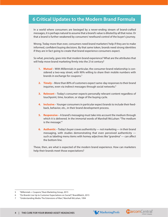#### **6 Critical Updates to the Modern Brand Formula**

In a world where consumers are besieged by a never-ending stream of brand-crafted messages, it is perhaps natural to assume that a brand's value is diluted by all that noise. Or that a brand is further weakened by consumers' newfound control of the buyer's journey.

Wrong. Today more than ever, consumers need brand marketers'help if they are to make informed, confident buying decisions. By that same token, brands need strong identities if they are in fact going to create that brand experience consumers expect.

So what, precisely, goes into that modern brand experience? What are the attributes that will help move brand marketing firmly into the 21st century?

- **1. Mutual** With Millennials in particular, the consumer-brand relationship is considered a two-way street, with 90% willing to share their mobile numbers with brands in exchange for coupons.<sup>5</sup>
- **2. Timely** More than 80% of customers expect same-day responses to their brand inquiries, even via indirect messages through social networks.<sup>6</sup>
- **3. Relevant** Today's consumer expects personally relevant content regardless of touchpoint, time, location, or stage of the buying cycle.
- **4. Inclusive** Younger consumers in particular expect brands to include their feedback, behavior, etc., in their brand development process.
- **5. Responsive** A brand's messaging must take into account the medium through which it is delivered. In the immortal words of Marshall McLuhan: "The medium is the message."7
- **6. Authentic** Today's buyer craves authenticity not marketing in their brand messaging, with studies demonstrating that even perceived authenticity such as labeling menu items with homey adjectives like "grandma" — can affect the bottom line.

These, then, are what is expected of the modern brand experience. How can marketers help their brands meet those expectations?





<sup>5</sup>  ["Millennials](http://buzzmg.com/digital-savings-marketing-to-millennials/) + Coupons," Buzz Marketing Group, 2015

<sup>6 &</sup>quot;Do Brands Live Up to Customer [Expectations](https://www.brandwatch.com/2015/03/research-do-brands-live-up-to-customer-expectations-on-social/) on Social?," BrandWatch, 2015

<sup>7 &</sup>quot;Understanding Media: The Extensions of Man," Marshall McLuhan, 1994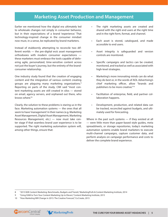#### **Marketing Asset Production and Management**

Earlier we mentioned how the digital era ultimately led to wholesale changes not simply in consumer behavior, but in their expectations of a brand 'experience.' That technology-inspired change in the consumer mindset now must, in a sense, be replicated by brand marketers.

Instead of stubbornly attempting to reconcile two different worlds — the pre-digital era's asset management orthodoxies with modern consumer expectations these marketers must embrace the tools capable of delivering agile, personalized, time-sensitive content across not just the buyer's journey, but the entirety of the brandconsumer relationship.

One industry study found that the creation of engaging content and the integration of various content creating groups are plaguing many marketing organizations.<sup>8</sup> Reporting on parts of the study, CMI said "most content marketing assets are still created in silos — stored on email, agency servers, and orphaned out there, who knows where."<sup>9</sup>

Clearly, the solution to these problems is staring us in the face. Marketing automation systems — the ones that all seem to have 'management' in their names (e.g. Marketing Asset Management,Digital Asset Management, Marketing Resources Management, etc.) — now must take center stage if that seamless brand user experience is to be supported. The right marketing automation system will, among other things, ensure that:

- • The right marketing assets are created and shared with the right end users at the right time and in the right form, format, and channel.
- Each asset is stored, catalogued, and made accessible to end users.
- Asset integrity is safeguarded and version controls are monitored.
- Specific campaigns and tactics can be created, monitored, and tracked as well as associated with high-level strategies.
- Marketing's more innovating minds can do what they do best or, in the words of AOL Advertising's chief marketing officer, allow "brands and publishers to be more creative."10
- Facilitation of enterprise, field, and partner collaboration happens.
- Development, production, and related data can be tracked, reconciled against budgets, and ultimately used for forecasting.

Where in the past such systems — if they existed at all — were little more than paper-based style guides, meta spreadsheets, or storage repositories, today's marketing automation systems enable brand marketers to execute multi-channel campaigns, capture customer data, and perform analysis on campaign performance and costs to deliver the complete brand experience.



<sup>8</sup> ["2015 B2B Content Marketing: Benchmarks, Budgets and Trends," MarketingProfs & Content Marketing Institute, 2014](http://www.marketingprofs.com/charts/2014/26154/2015-b2b-content-marketing-benchmarks-budgets-and-trends)

<sup>9 &</sup>quot;Using DAM to Turn Your Content Marketing Up to [Eleven,"Content](http://contentmarketinginstitute.com/wp-content/uploads/2014/07/DAM_UptoEleven.pdf) Marketing Institute, 2015

<sup>10 &</sup>quot;How Marketing Will Change in 2015: The Creative [Forecast,"Co.Create,](http://www.fastcocreate.com/3040028/how-marketing-will-change-in-2015-the-creative-forecast) 2015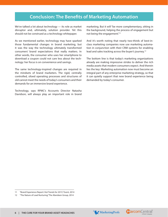#### **Conclusion: The Benefits of Marketing Automation**

We've talked a lot about technology — its role as market disruptor and, ultimately, solution provider. Yet this should not be construed as a technology whitepaper.

As we mentioned earlier, technology may have sparked those fundamental changes in brand marketing, but it was the way the technology ultimately transformed consumers' brand expectations that really matters. In other words, the consumer who uses her smartphone to download a coupon could not care less about the technology: her focus is on convenience and savings.

The same technology-inspired changes are required in the mindsets of brand marketers. The rigid, centrally controlled, siloed operating processes and structures of old cannot meet the needs of today's consumers and their demands for an immersive brand experience.

Technology, says RPMC's Accounts Director Natasha Davidson, will always play an important role in brand marketing. But it will "be more complementary, sitting in the background, helping the process of engagement but not being the engagement."11

And it's worth noting that nearly two-thirds of best-inclass marketing companies now use marketing automation in conjunction with their CRM systems for enabling lead and sales tracking across the buyer's journey.12

The bottom line is that today's marketing organizations already are making impressive strides to deliver the rich media assets that modern consumers expect. And therein lies the key: Marketing automation now must become an integral part of any enterprise marketing strategy, so that it can quietly support that new brand experience being demanded by today's consumer.





<sup>11</sup> ["Brand Experience Report: Hot Trends for 2015," Event, 2014](http://www.eventmagazine.co.uk/brand-experience-report-hot-trends-2015/agencies/article/1325034)

<sup>12 &</sup>quot;The Nature of Lead Nurturing," The Aberdeen Group, 2014